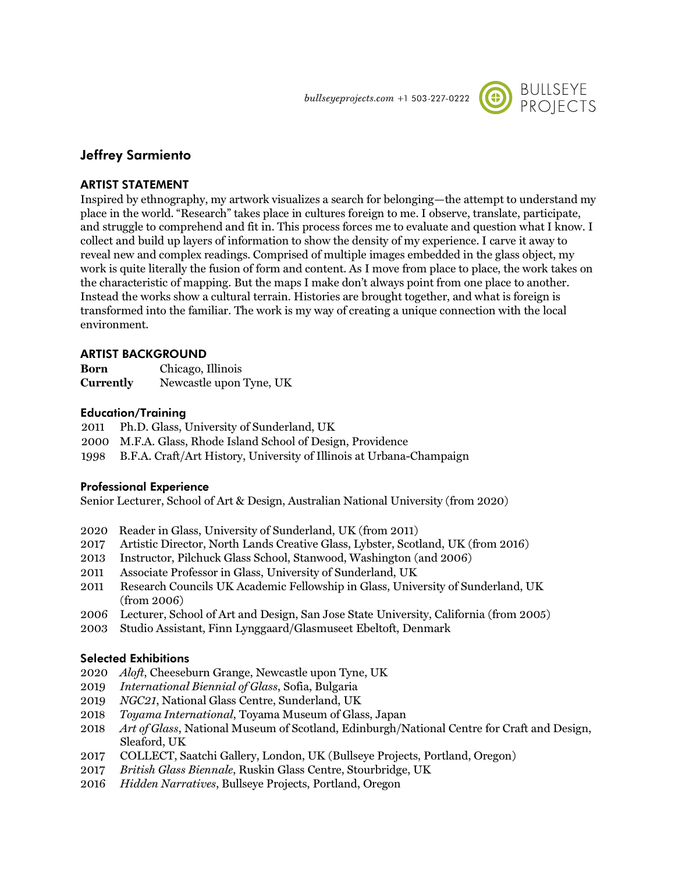$bulleye projects.com +1 503-227-0222$ 



# **Jeffrey Sarmiento**

## **ARTIST STATEMENT**

Inspired by ethnography, my artwork visualizes a search for belonging—the attempt to understand my place in the world. "Research" takes place in cultures foreign to me. I observe, translate, participate, and struggle to comprehend and fit in. This process forces me to evaluate and question what I know. I collect and build up layers of information to show the density of my experience. I carve it away to reveal new and complex readings. Comprised of multiple images embedded in the glass object, my work is quite literally the fusion of form and content. As I move from place to place, the work takes on the characteristic of mapping. But the maps I make don't always point from one place to another. Instead the works show a cultural terrain. Histories are brought together, and what is foreign is transformed into the familiar. The work is my way of creating a unique connection with the local environment.

# **ARTIST BACKGROUND**

| Born             | Chicago, Illinois       |
|------------------|-------------------------|
| <b>Currently</b> | Newcastle upon Tyne, UK |

# **Education/Training**

2011 Ph.D. Glass, University of Sunderland, UK

- 2000 M.F.A. Glass, Rhode Island School of Design, Providence
- 1998 B.F.A. Craft/Art History, University of Illinois at Urbana-Champaign

#### **Professional Experience**

Senior Lecturer, School of Art & Design, Australian National University (from 2020)

- 2020 Reader in Glass, University of Sunderland, UK (from 2011)
- 2017 Artistic Director, North Lands Creative Glass, Lybster, Scotland, UK (from 2016)
- 2013 Instructor, Pilchuck Glass School, Stanwood, Washington (and 2006)
- 2011 Associate Professor in Glass, University of Sunderland, UK
- 2011 Research Councils UK Academic Fellowship in Glass, University of Sunderland, UK (from 2006)
- 2006 Lecturer, School of Art and Design, San Jose State University, California (from 2005)
- 2003 Studio Assistant, Finn Lynggaard/Glasmuseet Ebeltoft, Denmark

# **Selected Exhibitions**

- 2020 *Aloft*, Cheeseburn Grange, Newcastle upon Tyne, UK
- 2019 *International Biennial of Glass*, Sofia, Bulgaria
- 2019 *NGC21*, National Glass Centre, Sunderland, UK
- 2018 *Toyama International*, Toyama Museum of Glass, Japan
- 2018 *Art of Glass*, National Museum of Scotland, Edinburgh/National Centre for Craft and Design, Sleaford, UK
- 2017 COLLECT, Saatchi Gallery, London, UK (Bullseye Projects, Portland, Oregon)
- 2017 *British Glass Biennale*, Ruskin Glass Centre, Stourbridge, UK
- 2016 *Hidden Narratives*, Bullseye Projects, Portland, Oregon